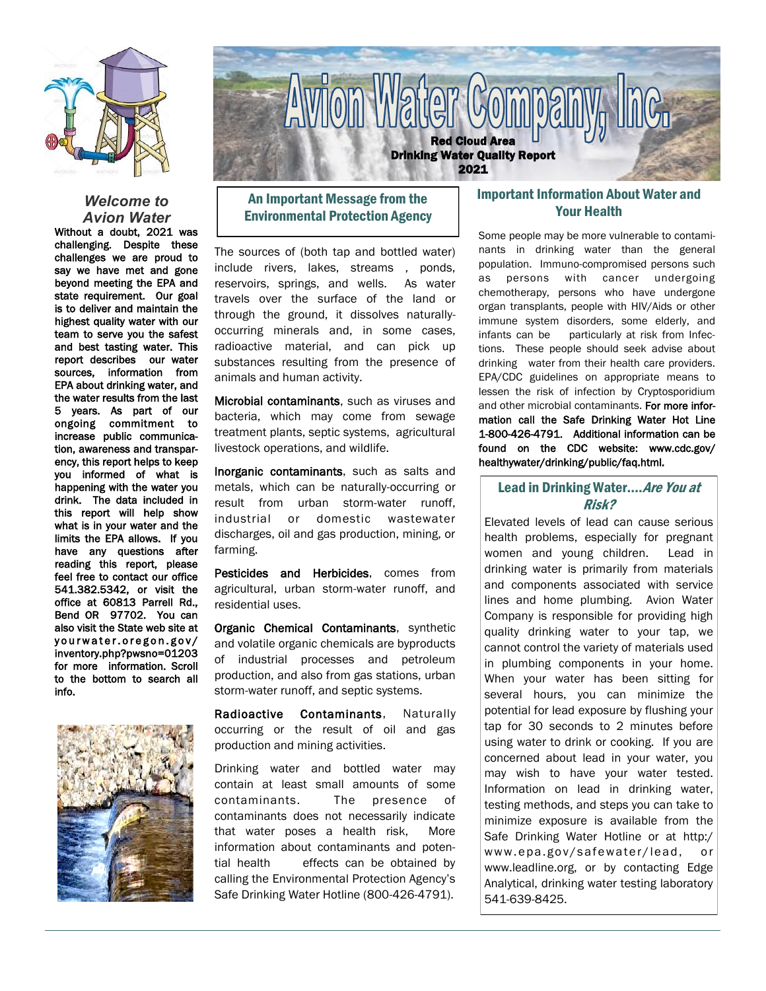

#### *Welcome to Avion Water*

Without a doubt, 2021 was challenging. Despite these challenges we are proud to say we have met and gone beyond meeting the EPA and state requirement. Our goal is to deliver and maintain the highest quality water with our team to serve you the safest and best tasting water. This report describes our water sources, information from EPA about drinking water, and the water results from the last 5 years. As part of our ongoing commitment to increase public communication, awareness and transparency, this report helps to keep you informed of what is happening with the water you drink. The data included in this report will help show what is in your water and the limits the EPA allows. If you have any questions after reading this report, please feel free to contact our office 541.382.5342, or visit the office at 60813 Parrell Rd., Bend OR 97702. You can also visit the State web site at yourwater.oregon.gov/ inventory.php?pwsno=01203 for more information. Scroll to the bottom to search all info.





# An Important Message from the Environmental Protection Agency

The sources of (both tap and bottled water) include rivers, lakes, streams , ponds, reservoirs, springs, and wells. As water travels over the surface of the land or through the ground, it dissolves naturallyoccurring minerals and, in some cases, radioactive material, and can pick up substances resulting from the presence of animals and human activity.

Microbial contaminants, such as viruses and bacteria, which may come from sewage treatment plants, septic systems, agricultural livestock operations, and wildlife.

Inorganic contaminants, such as salts and metals, which can be naturally-occurring or result from urban storm-water runoff, industrial or domestic wastewater discharges, oil and gas production, mining, or farming.

Pesticides and Herbicides, comes from agricultural, urban storm-water runoff, and residential uses.

Organic Chemical Contaminants, synthetic and volatile organic chemicals are byproducts of industrial processes and petroleum production, and also from gas stations, urban storm-water runoff, and septic systems.

Radioactive Contaminants, Naturally occurring or the result of oil and gas production and mining activities.

Drinking water and bottled water may contain at least small amounts of some contaminants. The presence of contaminants does not necessarily indicate that water poses a health risk, More information about contaminants and potential health effects can be obtained by calling the Environmental Protection Agency's Safe Drinking Water Hotline (800-426-4791).

## Important Information About Water and Your Health

Some people may be more vulnerable to contaminants in drinking water than the general population. Immuno-compromised persons such as persons with cancer undergoing chemotherapy, persons who have undergone organ transplants, people with HIV/Aids or other immune system disorders, some elderly, and infants can be particularly at risk from Infections. These people should seek advise about drinking water from their health care providers. EPA/CDC guidelines on appropriate means to lessen the risk of infection by Cryptosporidium and other microbial contaminants. For more information call the Safe Drinking Water Hot Line 1-800-426-4791. Additional information can be found on the CDC website: www.cdc.gov/ healthywater/drinking/public/faq.html.

## Lead in Drinking Water.... Are You at Risk?

Elevated levels of lead can cause serious health problems, especially for pregnant women and young children. Lead in drinking water is primarily from materials and components associated with service lines and home plumbing. Avion Water Company is responsible for providing high quality drinking water to your tap, we cannot control the variety of materials used in plumbing components in your home. When your water has been sitting for several hours, you can minimize the potential for lead exposure by flushing your tap for 30 seconds to 2 minutes before using water to drink or cooking. If you are concerned about lead in your water, you may wish to have your water tested. Information on lead in drinking water, testing methods, and steps you can take to minimize exposure is available from the Safe Drinking Water Hotline or at http:/ www.epa.gov/safewater/lead, or www.leadline.org, or by contacting Edge Analytical, drinking water testing laboratory 541-639-8425.